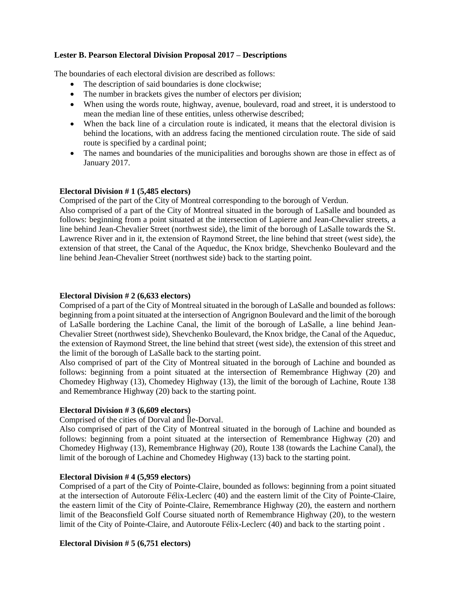## **Lester B. Pearson Electoral Division Proposal 2017 – Descriptions**

The boundaries of each electoral division are described as follows:

- The description of said boundaries is done clockwise;
- The number in brackets gives the number of electors per division;
- When using the words route, highway, avenue, boulevard, road and street, it is understood to mean the median line of these entities, unless otherwise described;
- When the back line of a circulation route is indicated, it means that the electoral division is behind the locations, with an address facing the mentioned circulation route. The side of said route is specified by a cardinal point;
- The names and boundaries of the municipalities and boroughs shown are those in effect as of January 2017.

#### **Electoral Division # 1 (5,485 electors)**

Comprised of the part of the City of Montreal corresponding to the borough of Verdun.

Also comprised of a part of the City of Montreal situated in the borough of LaSalle and bounded as follows: beginning from a point situated at the intersection of Lapierre and Jean-Chevalier streets, a line behind Jean-Chevalier Street (northwest side), the limit of the borough of LaSalle towards the St. Lawrence River and in it, the extension of Raymond Street, the line behind that street (west side), the extension of that street, the Canal of the Aqueduc, the Knox bridge, Shevchenko Boulevard and the line behind Jean-Chevalier Street (northwest side) back to the starting point.

### **Electoral Division # 2 (6,633 electors)**

Comprised of a part of the City of Montreal situated in the borough of LaSalle and bounded as follows: beginning from a point situated at the intersection of Angrignon Boulevard and the limit of the borough of LaSalle bordering the Lachine Canal, the limit of the borough of LaSalle, a line behind Jean-Chevalier Street (northwest side), Shevchenko Boulevard, the Knox bridge, the Canal of the Aqueduc, the extension of Raymond Street, the line behind that street (west side), the extension of this street and the limit of the borough of LaSalle back to the starting point.

Also comprised of part of the City of Montreal situated in the borough of Lachine and bounded as follows: beginning from a point situated at the intersection of Remembrance Highway (20) and Chomedey Highway (13), Chomedey Highway (13), the limit of the borough of Lachine, Route 138 and Remembrance Highway (20) back to the starting point.

## **Electoral Division # 3 (6,609 electors)**

Comprised of the cities of Dorval and Île-Dorval.

Also comprised of part of the City of Montreal situated in the borough of Lachine and bounded as follows: beginning from a point situated at the intersection of Remembrance Highway (20) and Chomedey Highway (13), Remembrance Highway (20), Route 138 (towards the Lachine Canal), the limit of the borough of Lachine and Chomedey Highway (13) back to the starting point.

## **Electoral Division # 4 (5,959 electors)**

Comprised of a part of the City of Pointe-Claire, bounded as follows: beginning from a point situated at the intersection of Autoroute Félix-Leclerc (40) and the eastern limit of the City of Pointe-Claire, the eastern limit of the City of Pointe-Claire, Remembrance Highway (20), the eastern and northern limit of the Beaconsfield Golf Course situated north of Remembrance Highway (20), to the western limit of the City of Pointe-Claire, and Autoroute Félix-Leclerc (40) and back to the starting point .

## **Electoral Division # 5 (6,751 electors)**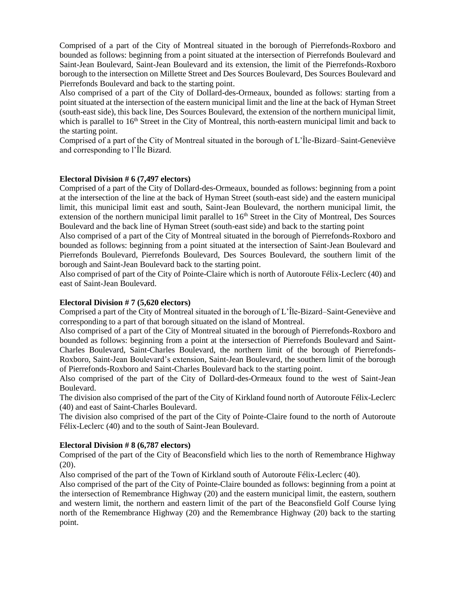Comprised of a part of the City of Montreal situated in the borough of Pierrefonds-Roxboro and bounded as follows: beginning from a point situated at the intersection of Pierrefonds Boulevard and Saint-Jean Boulevard, Saint-Jean Boulevard and its extension, the limit of the Pierrefonds-Roxboro borough to the intersection on Millette Street and Des Sources Boulevard, Des Sources Boulevard and Pierrefonds Boulevard and back to the starting point.

Also comprised of a part of the City of Dollard-des-Ormeaux, bounded as follows: starting from a point situated at the intersection of the eastern municipal limit and the line at the back of Hyman Street (south-east side), this back line, Des Sources Boulevard, the extension of the northern municipal limit, which is parallel to  $16<sup>th</sup>$  Street in the City of Montreal, this north-eastern municipal limit and back to the starting point.

Comprised of a part of the City of Montreal situated in the borough of L'Île-Bizard–Saint-Geneviève and corresponding to l'Île Bizard.

## **Electoral Division # 6 (7,497 electors)**

Comprised of a part of the City of Dollard-des-Ormeaux, bounded as follows: beginning from a point at the intersection of the line at the back of Hyman Street (south-east side) and the eastern municipal limit, this municipal limit east and south, Saint-Jean Boulevard, the northern municipal limit, the extension of the northern municipal limit parallel to  $16<sup>th</sup>$  Street in the City of Montreal, Des Sources Boulevard and the back line of Hyman Street (south-east side) and back to the starting point

Also comprised of a part of the City of Montreal situated in the borough of Pierrefonds-Roxboro and bounded as follows: beginning from a point situated at the intersection of Saint-Jean Boulevard and Pierrefonds Boulevard, Pierrefonds Boulevard, Des Sources Boulevard, the southern limit of the borough and Saint-Jean Boulevard back to the starting point.

Also comprised of part of the City of Pointe-Claire which is north of Autoroute Félix-Leclerc (40) and east of Saint-Jean Boulevard.

## **Electoral Division # 7 (5,620 electors)**

Comprised a part of the City of Montreal situated in the borough of L'Île-Bizard–Saint-Geneviève and corresponding to a part of that borough situated on the island of Montreal.

Also comprised of a part of the City of Montreal situated in the borough of Pierrefonds-Roxboro and bounded as follows: beginning from a point at the intersection of Pierrefonds Boulevard and Saint-Charles Boulevard, Saint-Charles Boulevard, the northern limit of the borough of Pierrefonds-Roxboro, Saint-Jean Boulevard's extension, Saint-Jean Boulevard, the southern limit of the borough of Pierrefonds-Roxboro and Saint-Charles Boulevard back to the starting point.

Also comprised of the part of the City of Dollard-des-Ormeaux found to the west of Saint-Jean Boulevard.

The division also comprised of the part of the City of Kirkland found north of Autoroute Félix-Leclerc (40) and east of Saint-Charles Boulevard.

The division also comprised of the part of the City of Pointe-Claire found to the north of Autoroute Félix-Leclerc (40) and to the south of Saint-Jean Boulevard.

## **Electoral Division # 8 (6,787 electors)**

Comprised of the part of the City of Beaconsfield which lies to the north of Remembrance Highway  $(20).$ 

Also comprised of the part of the Town of Kirkland south of Autoroute Félix-Leclerc (40).

Also comprised of the part of the City of Pointe-Claire bounded as follows: beginning from a point at the intersection of Remembrance Highway (20) and the eastern municipal limit, the eastern, southern and western limit, the northern and eastern limit of the part of the Beaconsfield Golf Course lying north of the Remembrance Highway (20) and the Remembrance Highway (20) back to the starting point.